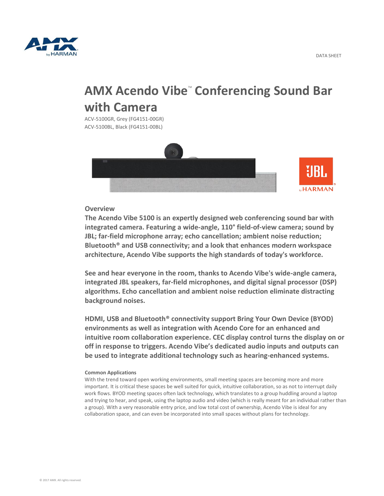

# **AMX Acendo Vibe<sup>"</sup> Conferencing Sound Bar with Camera**

ACV-5100GR, Grey (FG4151-00GR) ACV-5100BL, Black (FG4151-00BL)



## **Overview**

**The Acendo Vibe 5100 is an expertly designed web conferencing sound bar with integrated camera. Featuring a wide-angle, 110° field-of-view camera; sound by JBL; far-field microphone array; echo cancellation; ambient noise reduction; Bluetooth® and USB connectivity; and a look that enhances modern workspace architecture, Acendo Vibe supports the high standards of today's workforce.**

**See and hear everyone in the room, thanks to Acendo Vibe's wide-angle camera, integrated JBL speakers, far-field microphones, and digital signal processor (DSP) algorithms. Echo cancellation and ambient noise reduction eliminate distracting background noises.**

**HDMI, USB and Bluetooth® connectivity support Bring Your Own Device (BYOD) environments as well as integration with Acendo Core for an enhanced and intuitive room collaboration experience. CEC display control turns the display on or off in response to triggers. Acendo Vibe's dedicated audio inputs and outputs can be used to integrate additional technology such as hearing-enhanced systems.**

### **Common Applications**

With the trend toward open working environments, small meeting spaces are becoming more and more important. It is critical these spaces be well suited for quick, intuitive collaboration, so as not to interrupt daily work flows. BYOD meeting spaces often lack technology, which translates to a group huddling around a laptop and trying to hear, and speak, using the laptop audio and video (which is really meant for an individual rather than a group). With a very reasonable entry price, and low total cost of ownership, Acendo Vibe is ideal for any collaboration space, and can even be incorporated into small spaces without plans for technology.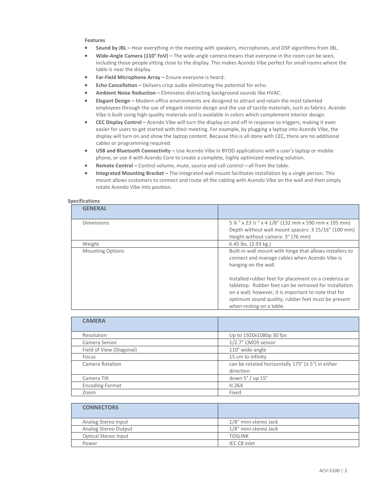#### **Features**

- **Sound by JBL –** Hear everything in the meeting with speakers, microphones, and DSP algorithms from JBL.
- **Wide-Angle Camera (110° FoV) –** The wide-angle camera means that everyone in the room can be seen, including those people sitting close to the display. This makes Acendo Vibe perfect for small rooms where the table is near the display.
- **Far-Field Microphone Array –** Ensure everyone is heard.
- **Echo Cancellation –** Delivers crisp audio eliminating the potential for echo.
- **Ambient Noise Reduction –** Eliminates distracting background sounds like HVAC.
- **Elegant Design –** Modern office environments are designed to attract and retain the most talented employees through the use of elegant interior design and the use of tactile materials, such as fabrics. Acendo Vibe is built using high-quality materials and is available in colors which complement interior design.
- **CEC Display Control –** Acendo Vibe will turn the display on and off in response to triggers, making it even easier for users to get started with their meeting. For example, by plugging a laptop into Acendo Vibe, the display will turn on and show the laptop content. Because this is all done with CEC, there are no additional cables or programming required.
- **USB and Bluetooth Connectivity –** Use Acendo Vibe in BYOD applications with a user's laptop or mobile phone, or use it with Acendo Core to create a complete, highly optimized meeting solution.
- **Remote Control –** Control volume, mute, source and call control—all from the table.
- **Integrated Mounting Bracket –** The integrated wall mount facilitates installation by a single person. This mount allows customers to connect and route all the cabling with Acendo Vibe on the wall and then simply rotate Acendo Vibe into position.

#### **Specifications**

| <b>GENERAL</b>          |                                                                                                                                                                                                                                                         |
|-------------------------|---------------------------------------------------------------------------------------------------------------------------------------------------------------------------------------------------------------------------------------------------------|
| <b>Dimensions</b>       | 5 % " x 23 % " x 4 1/8" (132 mm x 590 mm x 105 mm)<br>Depth without wall mount spacers: 3 15/16" (100 mm)                                                                                                                                               |
|                         | Height without camera: 3" (76 mm)                                                                                                                                                                                                                       |
| Weight                  | 6.45 lbs. (2.93 kg.)                                                                                                                                                                                                                                    |
| <b>Mounting Options</b> | Built-in wall mount with hinge that allows installers to<br>connect and manage cables when Acendo Vibe is<br>hanging on the wall.                                                                                                                       |
|                         | Installed rubber feet for placement on a credenza or<br>tabletop. Rubber feet can be removed for installation<br>on a wall; however, it is important to note that for<br>optimum sound quality, rubber feet must be present<br>when resting on a table. |

| <b>CAMERA</b>            |                                                                     |
|--------------------------|---------------------------------------------------------------------|
| Resolution               | Up to 1920x1080p 30 fps                                             |
| Camera Sensor            | 1/2.7" CMOS sensor                                                  |
| Field of View (Diagonal) | 110° wide-angle                                                     |
| Focus                    | 15 cm to infinity                                                   |
| Camera Rotation          | can be rotated horizontally $175^\circ$ ( $\pm 5^\circ$ ) in either |
|                          | direction                                                           |
| Camera Tilt              | down $5^{\circ}$ / up $15^{\circ}$                                  |
| <b>Encoding Format</b>   | H.264                                                               |
| Zoom                     | Fixed                                                               |

| <b>CONNECTORS</b>    |                       |
|----------------------|-----------------------|
| Analog Stereo Input  | 1/8" mini-stereo Jack |
| Analog Stereo Output | 1/8" mini-stereo Jack |
| Optical Stereo Input | <b>TOSLINK</b>        |
| Power                | IEC C8 inlet          |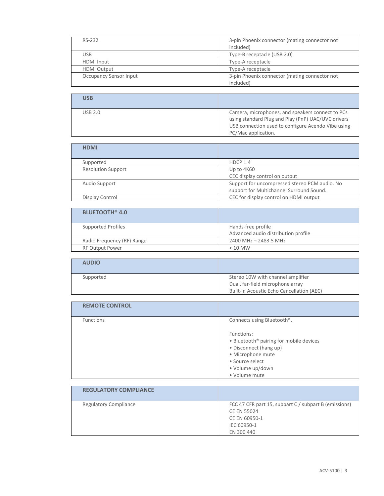| RS-232                        | 3-pin Phoenix connector (mating connector not<br>included) |
|-------------------------------|------------------------------------------------------------|
| <b>USB</b>                    | Type-B receptacle (USB 2.0)                                |
| <b>HDMI</b> Input             | Type-A receptacle                                          |
| <b>HDMI Output</b>            | Type-A receptacle                                          |
| <b>Occupancy Sensor Input</b> | 3-pin Phoenix connector (mating connector not<br>included) |

| USB            |                                                                                                                                                                                     |
|----------------|-------------------------------------------------------------------------------------------------------------------------------------------------------------------------------------|
| <b>USB 2.0</b> | Camera, microphones, and speakers connect to PCs<br>using standard Plug and Play (PnP) UAC/UVC drivers<br>USB connection used to configure Acendo Vibe using<br>PC/Mac application. |

| <b>HDMI</b>               |                                                                                           |
|---------------------------|-------------------------------------------------------------------------------------------|
| Supported                 | HDCP 1.4                                                                                  |
| <b>Resolution Support</b> | Up to 4K60<br>CEC display control on output                                               |
| Audio Support             | Support for uncompressed stereo PCM audio. No<br>support for Multichannel Surround Sound. |
| Display Control           | CEC for display control on HDMI output                                                    |

| <b>BLUETOOTH<sup>®</sup> 4.0</b> |                                                           |
|----------------------------------|-----------------------------------------------------------|
| <b>Supported Profiles</b>        | Hands-free profile<br>Advanced audio distribution profile |
| Radio Frequency (RF) Range       | 2400 MHz - 2483.5 MHz                                     |
| <b>RF Output Power</b>           | $< 10$ MW                                                 |

| <b>AUDIO</b> |                                           |
|--------------|-------------------------------------------|
| Supported    | Stereo 10W with channel amplifier         |
|              | Dual, far-field microphone array          |
|              | Built-in Acoustic Echo Cancellation (AEC) |

| <b>REMOTE CONTROL</b> |                                                     |
|-----------------------|-----------------------------------------------------|
| <b>Functions</b>      | Connects using Bluetooth <sup>®</sup> .             |
|                       | Functions:                                          |
|                       | • Bluetooth <sup>®</sup> pairing for mobile devices |
|                       | • Disconnect (hang up)                              |
|                       | · Microphone mute                                   |
|                       | • Source select                                     |
|                       | • Volume up/down                                    |
|                       | • Volume mute                                       |

| <b>REGULATORY COMPLIANCE</b> |                                                                                                                    |
|------------------------------|--------------------------------------------------------------------------------------------------------------------|
| <b>Regulatory Compliance</b> | FCC 47 CFR part 15, subpart C / subpart B (emissions)<br>CE EN 55024<br>CE EN 60950-1<br>IEC 60950-1<br>EN 300 440 |